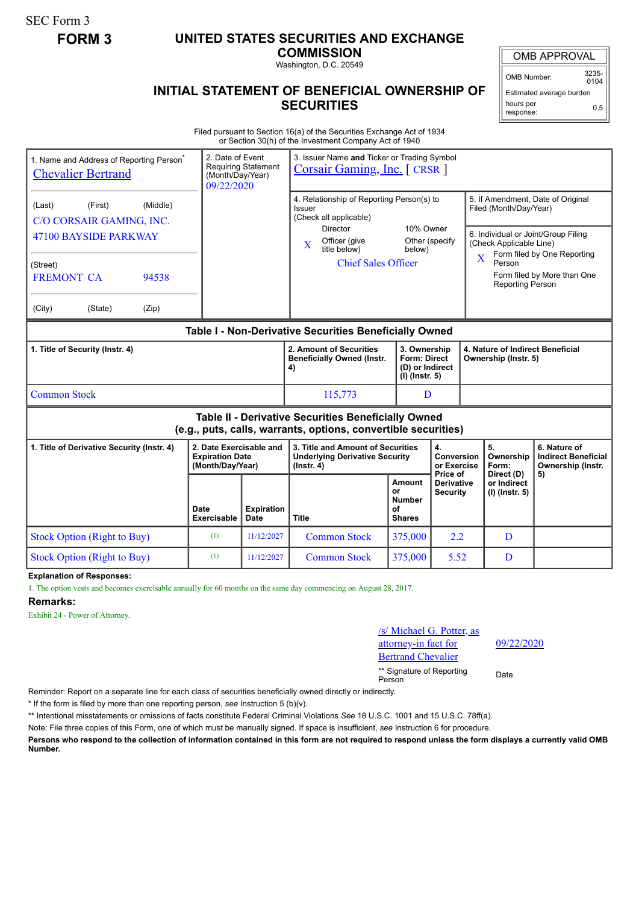SEC Form 3

## **FORM 3 UNITED STATES SECURITIES AND EXCHANGE**

**COMMISSION** Washington, D.C. 20549

**INITIAL STATEMENT OF BENEFICIAL OWNERSHIP OF SECURITIES**

OMB APPROVAL

OMB Number: 3235-  $0104$ 

Estimated average burden hours per 0.5

## response:

Filed pursuant to Section 16(a) of the Securities Exchange Act of 1934 or Section 30(h) of the Investment Company Act of 1940

| 1. Name and Address of Reporting Person <sup>®</sup><br><b>Chevalier Bertrand</b>                                     |                                                                       | 2. Date of Event<br>3. Issuer Name and Ticker or Trading Symbol<br><b>Requiring Statement</b><br><b>Corsair Gaming, Inc.</b> [CRSR]<br>(Month/Day/Year)<br>09/22/2020 |                                                                                                  |                                                                            |                                                    |                                                                                                                          |                                                                       |  |
|-----------------------------------------------------------------------------------------------------------------------|-----------------------------------------------------------------------|-----------------------------------------------------------------------------------------------------------------------------------------------------------------------|--------------------------------------------------------------------------------------------------|----------------------------------------------------------------------------|----------------------------------------------------|--------------------------------------------------------------------------------------------------------------------------|-----------------------------------------------------------------------|--|
| (Middle)<br>(Last)<br>(First)<br>C/O CORSAIR GAMING, INC.                                                             |                                                                       |                                                                                                                                                                       | 4. Relationship of Reporting Person(s) to<br>Issuer<br>(Check all applicable)<br><b>Director</b> | 10% Owner                                                                  |                                                    | 5. If Amendment, Date of Original<br>Filed (Month/Day/Year)                                                              |                                                                       |  |
| 47100 BAYSIDE PARKWAY                                                                                                 |                                                                       |                                                                                                                                                                       | Officer (give<br>$\mathbf X$<br>title below)                                                     | Other (specify<br>below)                                                   |                                                    | 6. Individual or Joint/Group Filing<br>(Check Applicable Line)<br>Form filed by One Reporting<br>$\overline{\mathbf{X}}$ |                                                                       |  |
| (Street)<br><b>FREMONT CA</b><br>94538                                                                                |                                                                       |                                                                                                                                                                       | <b>Chief Sales Officer</b>                                                                       |                                                                            |                                                    | Person<br>Form filed by More than One<br><b>Reporting Person</b>                                                         |                                                                       |  |
| (City)<br>(State)<br>(Zip)                                                                                            |                                                                       |                                                                                                                                                                       |                                                                                                  |                                                                            |                                                    |                                                                                                                          |                                                                       |  |
| Table I - Non-Derivative Securities Beneficially Owned                                                                |                                                                       |                                                                                                                                                                       |                                                                                                  |                                                                            |                                                    |                                                                                                                          |                                                                       |  |
| 1. Title of Security (Instr. 4)                                                                                       |                                                                       |                                                                                                                                                                       | 2. Amount of Securities<br><b>Beneficially Owned (Instr.</b><br>4)                               | 3. Ownership<br><b>Form: Direct</b><br>(D) or Indirect<br>$(I)$ (lnstr. 5) |                                                    | 4. Nature of Indirect Beneficial<br>Ownership (Instr. 5)                                                                 |                                                                       |  |
| <b>Common Stock</b>                                                                                                   |                                                                       |                                                                                                                                                                       | 115,773                                                                                          | D                                                                          |                                                    |                                                                                                                          |                                                                       |  |
| Table II - Derivative Securities Beneficially Owned<br>(e.g., puts, calls, warrants, options, convertible securities) |                                                                       |                                                                                                                                                                       |                                                                                                  |                                                                            |                                                    |                                                                                                                          |                                                                       |  |
| 1. Title of Derivative Security (Instr. 4)                                                                            | 2. Date Exercisable and<br><b>Expiration Date</b><br>(Month/Day/Year) |                                                                                                                                                                       | 3. Title and Amount of Securities<br><b>Underlying Derivative Security</b><br>$($ lnstr. 4 $)$   |                                                                            | 4.<br><b>Conversion</b><br>or Exercise<br>Price of | 5.<br>Ownership<br>Form:                                                                                                 | 6. Nature of<br><b>Indirect Beneficial</b><br>Ownership (Instr.<br>5) |  |
|                                                                                                                       | Date<br><b>Exercisable</b>                                            | <b>Expiration</b><br><b>Date</b>                                                                                                                                      | <b>Title</b>                                                                                     | Amount<br>or<br><b>Number</b><br>οf<br><b>Shares</b>                       | <b>Derivative</b><br><b>Security</b>               | Direct (D)<br>or Indirect<br>(I) (Instr. 5)                                                                              |                                                                       |  |
| <b>Stock Option (Right to Buy)</b>                                                                                    | (1)                                                                   | 11/12/2027                                                                                                                                                            | <b>Common Stock</b>                                                                              | 375,000                                                                    | 2.2                                                | D                                                                                                                        |                                                                       |  |
| <b>Stock Option (Right to Buy)</b>                                                                                    | (1)                                                                   | 11/12/2027                                                                                                                                                            | <b>Common Stock</b>                                                                              | 375,000                                                                    | 5.52                                               | D                                                                                                                        |                                                                       |  |

**Explanation of Responses:**

1. The option vests and becomes exercisable annually for 60 months on the same day commencing on August 28, 2017.

## **Remarks:**

Exhibit 24 - Power of Attorney.

/s/ Michael G. Potter, as attorney-in fact for rtrand Chevalier \*\* Signature of Reporting <sub>Date</sub><br>Person

09/22/2020

Reminder: Report on a separate line for each class of securities beneficially owned directly or indirectly.

\* If the form is filed by more than one reporting person, *see* Instruction 5 (b)(v).

\*\* Intentional misstatements or omissions of facts constitute Federal Criminal Violations *See* 18 U.S.C. 1001 and 15 U.S.C. 78ff(a).

Note: File three copies of this Form, one of which must be manually signed. If space is insufficient, *see* Instruction 6 for procedure.

**Persons who respond to the collection of information contained in this form are not required to respond unless the form displays a currently valid OMB Number.**